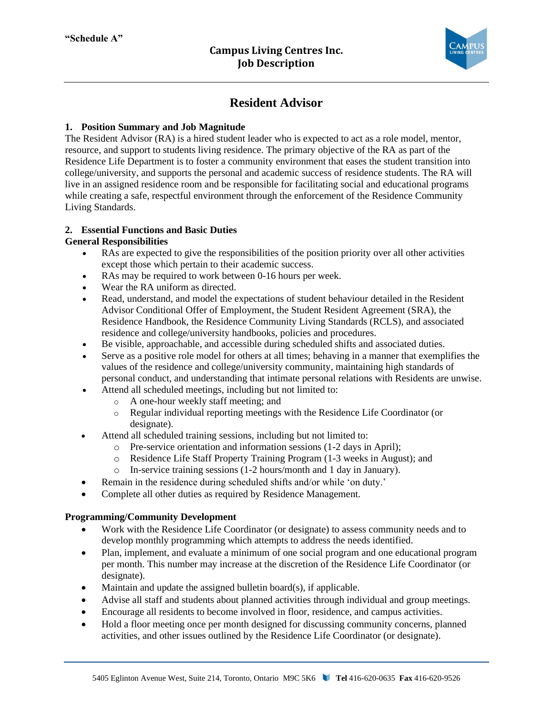

# **Resident Advisor**

# **1. Position Summary and Job Magnitude**

The Resident Advisor (RA) is a hired student leader who is expected to act as a role model, mentor, resource, and support to students living residence. The primary objective of the RA as part of the Residence Life Department is to foster a community environment that eases the student transition into college/university, and supports the personal and academic success of residence students. The RA will live in an assigned residence room and be responsible for facilitating social and educational programs while creating a safe, respectful environment through the enforcement of the Residence Community Living Standards.

# **2. Essential Functions and Basic Duties**

### **General Responsibilities**

- RAs are expected to give the responsibilities of the position priority over all other activities except those which pertain to their academic success.
- RAs may be required to work between 0-16 hours per week.
- Wear the RA uniform as directed.
- Read, understand, and model the expectations of student behaviour detailed in the Resident Advisor Conditional Offer of Employment, the Student Resident Agreement (SRA), the Residence Handbook, the Residence Community Living Standards (RCLS), and associated residence and college/university handbooks, policies and procedures.
- Be visible, approachable, and accessible during scheduled shifts and associated duties.
- Serve as a positive role model for others at all times; behaving in a manner that exemplifies the values of the residence and college/university community, maintaining high standards of personal conduct, and understanding that intimate personal relations with Residents are unwise.
- Attend all scheduled meetings, including but not limited to:
	- o A one-hour weekly staff meeting; and
	- o Regular individual reporting meetings with the Residence Life Coordinator (or designate).
- Attend all scheduled training sessions, including but not limited to:
	- o Pre-service orientation and information sessions (1-2 days in April);
	- o Residence Life Staff Property Training Program (1-3 weeks in August); and
	- o In-service training sessions (1-2 hours/month and 1 day in January).
- Remain in the residence during scheduled shifts and/or while 'on duty.'
- Complete all other duties as required by Residence Management.

#### **Programming/Community Development**

- Work with the Residence Life Coordinator (or designate) to assess community needs and to develop monthly programming which attempts to address the needs identified.
- Plan, implement, and evaluate a minimum of one social program and one educational program per month. This number may increase at the discretion of the Residence Life Coordinator (or designate).
- Maintain and update the assigned bulletin board(s), if applicable.
- Advise all staff and students about planned activities through individual and group meetings.
- Encourage all residents to become involved in floor, residence, and campus activities.
- Hold a floor meeting once per month designed for discussing community concerns, planned activities, and other issues outlined by the Residence Life Coordinator (or designate).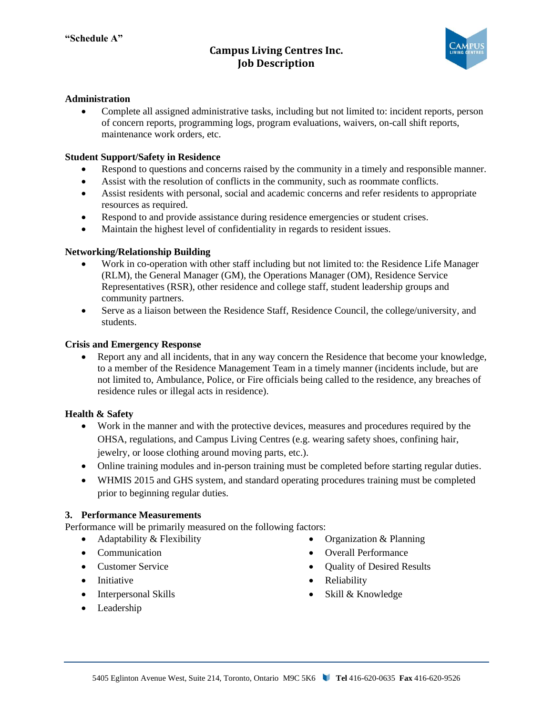# **Campus Living Centres Inc. Job Description**



### **Administration**

• Complete all assigned administrative tasks, including but not limited to: incident reports, person of concern reports, programming logs, program evaluations, waivers, on-call shift reports, maintenance work orders, etc.

#### **Student Support/Safety in Residence**

- Respond to questions and concerns raised by the community in a timely and responsible manner.
- Assist with the resolution of conflicts in the community, such as roommate conflicts.
- Assist residents with personal, social and academic concerns and refer residents to appropriate resources as required.
- Respond to and provide assistance during residence emergencies or student crises.
- Maintain the highest level of confidentiality in regards to resident issues.

#### **Networking/Relationship Building**

- Work in co-operation with other staff including but not limited to: the Residence Life Manager (RLM), the General Manager (GM), the Operations Manager (OM), Residence Service Representatives (RSR), other residence and college staff, student leadership groups and community partners.
- Serve as a liaison between the Residence Staff, Residence Council, the college/university, and students.

#### **Crisis and Emergency Response**

• Report any and all incidents, that in any way concern the Residence that become your knowledge, to a member of the Residence Management Team in a timely manner (incidents include, but are not limited to, Ambulance, Police, or Fire officials being called to the residence, any breaches of residence rules or illegal acts in residence).

#### **Health & Safety**

- Work in the manner and with the protective devices, measures and procedures required by the OHSA, regulations, and Campus Living Centres (e.g. wearing safety shoes, confining hair, jewelry, or loose clothing around moving parts, etc.).
- Online training modules and in-person training must be completed before starting regular duties.
- WHMIS 2015 and GHS system, and standard operating procedures training must be completed prior to beginning regular duties.

#### **3. Performance Measurements**

Performance will be primarily measured on the following factors:

- Adaptability & Flexibility
- Communication
- Customer Service
- Initiative
- Interpersonal Skills
- Leadership
- Organization & Planning
- Overall Performance
- Quality of Desired Results
- Reliability
- Skill & Knowledge